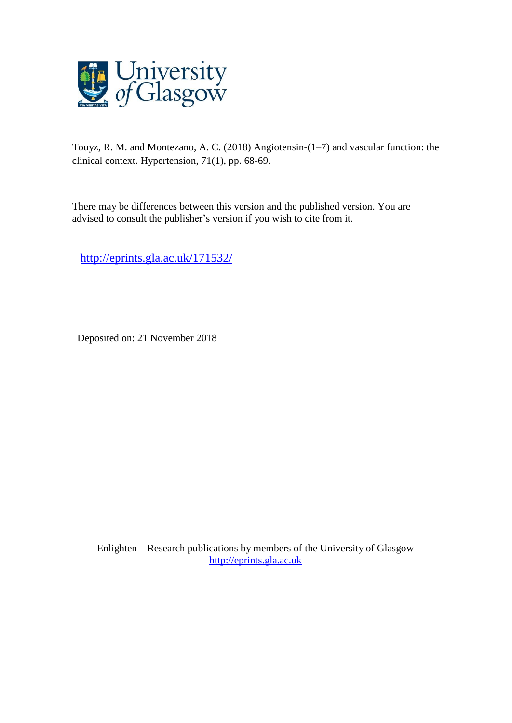

Touyz, R. M. and Montezano, A. C. (2018) Angiotensin-(1–7) and vascular function: the clinical context. Hypertension, 71(1), pp. 68-69.

There may be differences between this version and the published version. You are advised to consult the publisher's version if you wish to cite from it.

<http://eprints.gla.ac.uk/171532/>

Deposited on: 21 November 2018

Enlighten – Research publications by members of the University of Glasgo[w](http://eprints.gla.ac.uk/) [http://eprints.gla.ac.uk](http://eprints.gla.ac.uk/)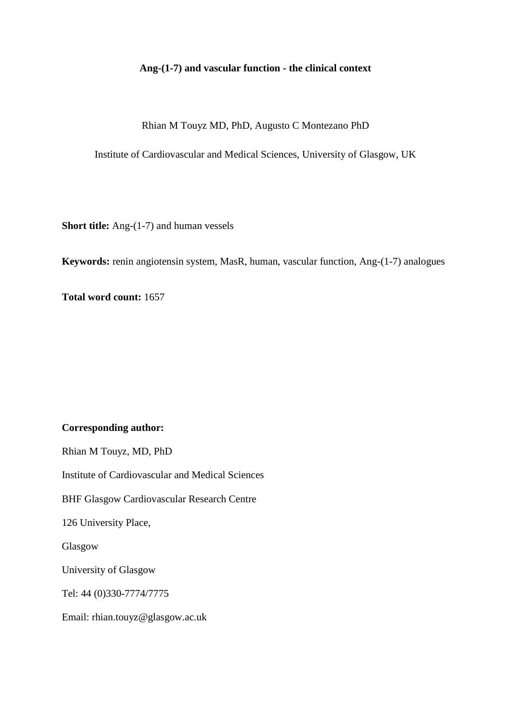### **Ang-(1-7) and vascular function - the clinical context**

Rhian M Touyz MD, PhD, Augusto C Montezano PhD

Institute of Cardiovascular and Medical Sciences, University of Glasgow, UK

**Short title:** Ang-(1-7) and human vessels

**Keywords:** renin angiotensin system, MasR, human, vascular function, Ang-(1-7) analogues

**Total word count:** 1657

# **Corresponding author:**

Rhian M Touyz, MD, PhD

Institute of Cardiovascular and Medical Sciences

BHF Glasgow Cardiovascular Research Centre

126 University Place,

Glasgow

University of Glasgow

Tel: 44 (0)330-7774/7775

Email: rhian.touyz@glasgow.ac.uk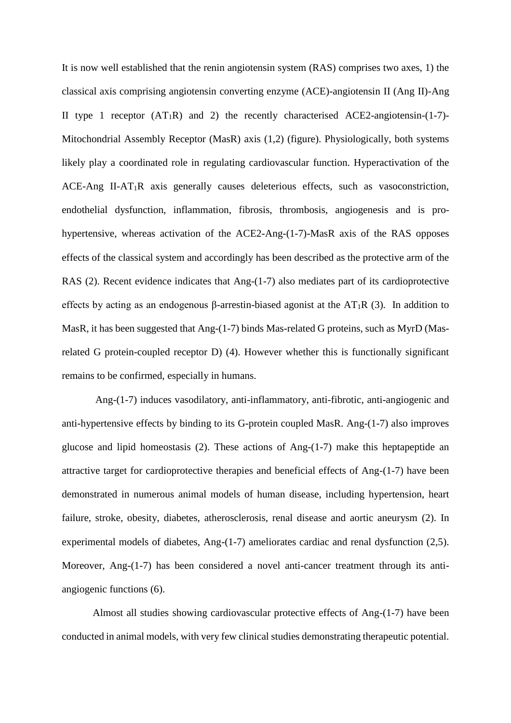It is now well established that the renin angiotensin system (RAS) comprises two axes, 1) the classical axis comprising angiotensin converting enzyme (ACE)-angiotensin II (Ang II)-Ang II type 1 receptor  $(AT_1R)$  and 2) the recently characterised ACE2-angiotensin- $(1-7)$ -Mitochondrial Assembly Receptor (MasR) axis (1,2) (figure). Physiologically, both systems likely play a coordinated role in regulating cardiovascular function. Hyperactivation of the ACE-Ang II-AT<sub>1</sub>R axis generally causes deleterious effects, such as vasoconstriction, endothelial dysfunction, inflammation, fibrosis, thrombosis, angiogenesis and is prohypertensive, whereas activation of the ACE2-Ang-(1-7)-MasR axis of the RAS opposes effects of the classical system and accordingly has been described as the protective arm of the RAS (2). Recent evidence indicates that Ang-(1-7) also mediates part of its cardioprotective effects by acting as an endogenous β-arrestin-biased agonist at the AT<sub>1</sub>R (3). In addition to MasR, it has been suggested that Ang-(1-7) binds Mas-related G proteins, such as MyrD (Masrelated G protein-coupled receptor D) (4). However whether this is functionally significant remains to be confirmed, especially in humans.

Ang-(1-7) induces vasodilatory, anti-inflammatory, anti-fibrotic, anti-angiogenic and anti-hypertensive effects by binding to its G-protein coupled MasR. Ang-(1-7) also improves glucose and lipid homeostasis (2). These actions of Ang-(1-7) make this heptapeptide an attractive target for cardioprotective therapies and beneficial effects of Ang-(1-7) have been demonstrated in numerous animal models of human disease, including hypertension, heart failure, stroke, obesity, diabetes, atherosclerosis, renal disease and aortic aneurysm (2). In experimental models of diabetes, Ang-(1-7) ameliorates cardiac and renal dysfunction (2,5). Moreover, Ang-(1-7) has been considered a novel anti-cancer treatment through its antiangiogenic functions (6).

Almost all studies showing cardiovascular protective effects of Ang-(1-7) have been conducted in animal models, with very few clinical studies demonstrating therapeutic potential.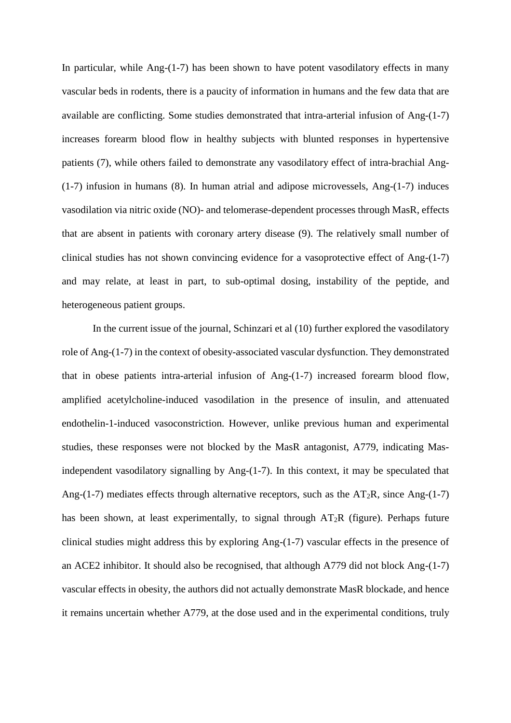In particular, while Ang-(1-7) has been shown to have potent vasodilatory effects in many vascular beds in rodents, there is a paucity of information in humans and the few data that are available are conflicting. Some studies demonstrated that intra-arterial infusion of Ang-(1-7) increases forearm blood flow in healthy subjects with blunted responses in hypertensive patients (7), while others failed to demonstrate any vasodilatory effect of intra-brachial Ang- (1-7) infusion in humans (8). In human atrial and adipose microvessels, Ang-(1-7) induces vasodilation via nitric oxide (NO)- and telomerase-dependent processes through MasR, effects that are absent in patients with coronary artery disease (9). The relatively small number of clinical studies has not shown convincing evidence for a vasoprotective effect of Ang-(1-7) and may relate, at least in part, to sub-optimal dosing, instability of the peptide, and heterogeneous patient groups.

In the current issue of the journal, Schinzari et al (10) further explored the vasodilatory role of Ang-(1-7) in the context of obesity-associated vascular dysfunction. They demonstrated that in obese patients intra-arterial infusion of Ang-(1-7) increased forearm blood flow, amplified acetylcholine-induced vasodilation in the presence of insulin, and attenuated endothelin-1-induced vasoconstriction. However, unlike previous human and experimental studies, these responses were not blocked by the MasR antagonist, A779, indicating Masindependent vasodilatory signalling by Ang-(1-7). In this context, it may be speculated that Ang-(1-7) mediates effects through alternative receptors, such as the  $AT_2R$ , since Ang-(1-7) has been shown, at least experimentally, to signal through  $AT_2R$  (figure). Perhaps future clinical studies might address this by exploring Ang-(1-7) vascular effects in the presence of an ACE2 inhibitor. It should also be recognised, that although A779 did not block Ang-(1-7) vascular effects in obesity, the authors did not actually demonstrate MasR blockade, and hence it remains uncertain whether A779, at the dose used and in the experimental conditions, truly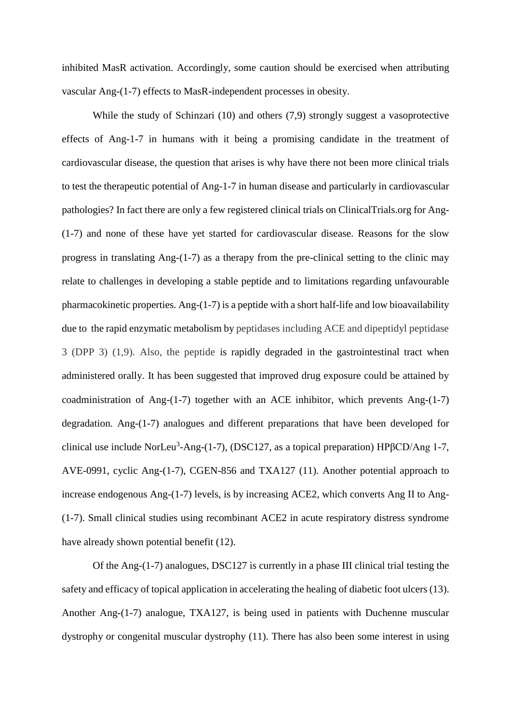inhibited MasR activation. Accordingly, some caution should be exercised when attributing vascular Ang-(1-7) effects to MasR-independent processes in obesity.

While the study of Schinzari (10) and others (7,9) strongly suggest a vasoprotective effects of Ang-1-7 in humans with it being a promising candidate in the treatment of cardiovascular disease, the question that arises is why have there not been more clinical trials to test the therapeutic potential of Ang-1-7 in human disease and particularly in cardiovascular pathologies? In fact there are only a few registered clinical trials on ClinicalTrials.org for Ang- (1-7) and none of these have yet started for cardiovascular disease. Reasons for the slow progress in translating Ang-(1-7) as a therapy from the pre-clinical setting to the clinic may relate to challenges in developing a stable peptide and to limitations regarding unfavourable pharmacokinetic properties. Ang-(1-7) is a peptide with a short half-life and low bioavailability due to the rapid enzymatic metabolism by peptidases including ACE and dipeptidyl peptidase 3 (DPP 3) (1,9). Also, the peptide is rapidly degraded in the gastrointestinal tract when administered orally. It has been suggested that improved drug exposure could be attained by coadministration of Ang-(1-7) together with an ACE inhibitor, which prevents Ang-(1-7) degradation. Ang-(1-7) analogues and different preparations that have been developed for clinical use include NorLeu<sup>3</sup>-Ang-(1-7), (DSC127, as a topical preparation) HP $\beta$ CD/Ang 1-7, AVE-0991, cyclic Ang-(1-7), CGEN-856 and TXA127 (11). Another potential approach to increase endogenous Ang-(1-7) levels, is by increasing ACE2, which converts Ang II to Ang- (1-7). Small clinical studies using recombinant ACE2 in acute respiratory distress syndrome have already shown potential benefit (12).

Of the Ang-(1-7) analogues, DSC127 is currently in a phase III clinical trial testing the safety and efficacy of topical application in accelerating the healing of diabetic foot ulcers (13). Another Ang-(1-7) analogue, TXA127, is being used in patients with Duchenne muscular dystrophy or congenital muscular dystrophy (11). There has also been some interest in using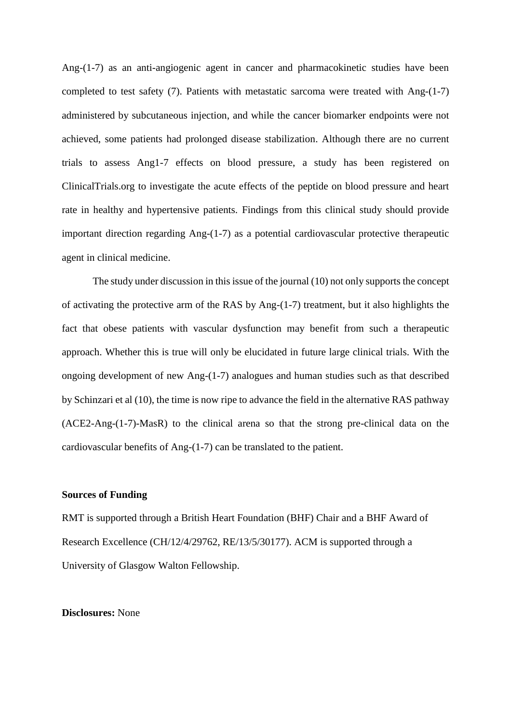Ang-(1-7) as an anti-angiogenic agent in cancer and pharmacokinetic studies have been completed to test safety (7). Patients with metastatic sarcoma were treated with Ang-(1-7) administered by subcutaneous injection, and while the cancer biomarker endpoints were not achieved, some patients had prolonged disease stabilization. Although there are no current trials to assess Ang1-7 effects on blood pressure, a study has been registered on ClinicalTrials.org to investigate the acute effects of the peptide on blood pressure and heart rate in healthy and hypertensive patients. Findings from this clinical study should provide important direction regarding Ang-(1-7) as a potential cardiovascular protective therapeutic agent in clinical medicine.

The study under discussion in this issue of the journal (10) not only supports the concept of activating the protective arm of the RAS by Ang-(1-7) treatment, but it also highlights the fact that obese patients with vascular dysfunction may benefit from such a therapeutic approach. Whether this is true will only be elucidated in future large clinical trials. With the ongoing development of new Ang-(1-7) analogues and human studies such as that described by Schinzari et al (10), the time is now ripe to advance the field in the alternative RAS pathway (ACE2-Ang-(1-7)-MasR) to the clinical arena so that the strong pre-clinical data on the cardiovascular benefits of Ang-(1-7) can be translated to the patient.

## **Sources of Funding**

RMT is supported through a British Heart Foundation (BHF) Chair and a BHF Award of Research Excellence (CH/12/4/29762, RE/13/5/30177). ACM is supported through a University of Glasgow Walton Fellowship.

### **Disclosures:** None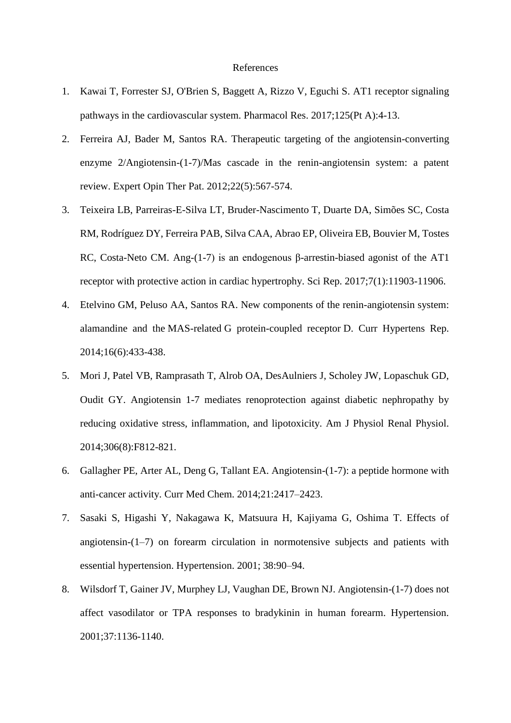#### References

- 1. Kawai T, Forrester SJ, O'Brien S, Baggett A, Rizzo V, Eguchi S. [AT1 receptor signaling](https://www.ncbi.nlm.nih.gov/pubmed/28527699)  [pathways in the cardiovascular](https://www.ncbi.nlm.nih.gov/pubmed/28527699) system. Pharmacol Res. 2017;125(Pt A):4-13.
- 2. Ferreira AJ, Bader M, Santos RA. Therapeutic targeting of the angiotensin-converting enzyme 2/Angiotensin-(1-7)/Mas cascade in the renin-angiotensin system: a patent review. Expert Opin Ther Pat. 2012;22(5):567-574.
- 3. Teixeira LB, Parreiras-E-Silva LT, Bruder-Nascimento T, Duarte DA, Simões SC, Costa RM, Rodríguez DY, Ferreira PAB, Silva CAA, Abrao EP, Oliveira EB, Bouvier M, Tostes RC, Costa-Neto CM. Ang-(1-7) is an endogenous β-arrestin-biased agonist of the AT1 receptor with protective action in cardiac hypertrophy. Sci Rep. 2017;7(1):11903-11906.
- 4. Etelvino GM, Peluso AA, Santos RA. New components of the renin-angiotensin system: alamandine and the MAS-related G protein-coupled receptor D. Curr Hypertens Rep. 2014;16(6):433-438.
- 5. Mori J, Patel VB, Ramprasath T, Alrob OA, DesAulniers J, Scholey JW, Lopaschuk GD, Oudit GY. Angiotensin 1-7 mediates renoprotection against diabetic nephropathy by reducing oxidative stress, inflammation, and lipotoxicity. Am J Physiol Renal Physiol. 2014;306(8):F812-821.
- 6. Gallagher PE, Arter AL, Deng G, Tallant EA. Angiotensin-(1-7): a peptide hormone with anti-cancer activity. Curr Med Chem. 2014;21:2417–2423.
- 7. Sasaki S, Higashi Y, Nakagawa K, Matsuura H, Kajiyama G, Oshima T. Effects of angiotensin-(1–7) on forearm circulation in normotensive subjects and patients with essential hypertension. Hypertension. 2001; 38:90–94.
- 8. Wilsdorf T, Gainer JV, Murphey LJ, Vaughan DE, Brown NJ. Angiotensin-(1-7) does not affect vasodilator or TPA responses to bradykinin in human forearm. Hypertension. 2001;37:1136-1140.